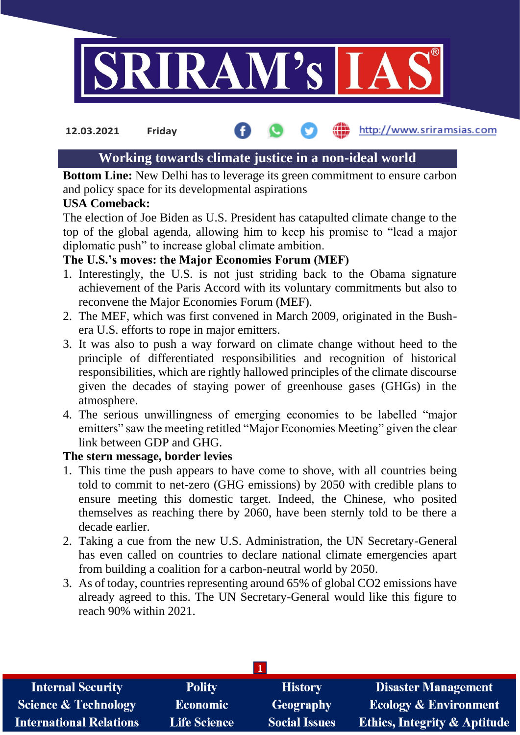

#### **12.03.2021 Friday**

# http://www.sriramsias.com

# **Working towards climate justice in a non-ideal world**

**Bottom Line:** New Delhi has to leverage its green commitment to ensure carbon and policy space for its developmental aspirations

## **USA Comeback:**

The election of Joe Biden as U.S. President has catapulted climate change to the top of the global agenda, allowing him to keep his promise to "lead a major diplomatic push" to increase global climate ambition.

# **The U.S.'s moves: the Major Economies Forum (MEF)**

- 1. Interestingly, the U.S. is not just striding back to the Obama signature achievement of the Paris Accord with its voluntary commitments but also to reconvene the Major Economies Forum (MEF).
- 2. The MEF, which was first convened in March 2009, originated in the Bushera U.S. efforts to rope in major emitters.
- 3. It was also to push a way forward on climate change without heed to the principle of differentiated responsibilities and recognition of historical responsibilities, which are rightly hallowed principles of the climate discourse given the decades of staying power of greenhouse gases (GHGs) in the atmosphere.
- 4. The serious unwillingness of emerging economies to be labelled "major emitters" saw the meeting retitled "Major Economies Meeting" given the clear link between GDP and GHG.

## **The stern message, border levies**

- 1. This time the push appears to have come to shove, with all countries being told to commit to net-zero (GHG emissions) by 2050 with credible plans to ensure meeting this domestic target. Indeed, the Chinese, who posited themselves as reaching there by 2060, have been sternly told to be there a decade earlier.
- 2. Taking a cue from the new U.S. Administration, the UN Secretary-General has even called on countries to declare national climate emergencies apart from building a coalition for a carbon-neutral world by 2050.
- 3. As of today, countries representing around 65% of global CO2 emissions have already agreed to this. The UN Secretary-General would like this figure to reach 90% within 2021.

| <b>Internal Security</b>        | <b>Polity</b>       | <b>History</b>       | <b>Disaster Management</b>              |  |  |  |
|---------------------------------|---------------------|----------------------|-----------------------------------------|--|--|--|
| <b>Science &amp; Technology</b> | <b>Economic</b>     | <b>Geography</b>     | <b>Ecology &amp; Environment</b>        |  |  |  |
| <b>International Relations</b>  | <b>Life Science</b> | <b>Social Issues</b> | <b>Ethics, Integrity &amp; Aptitude</b> |  |  |  |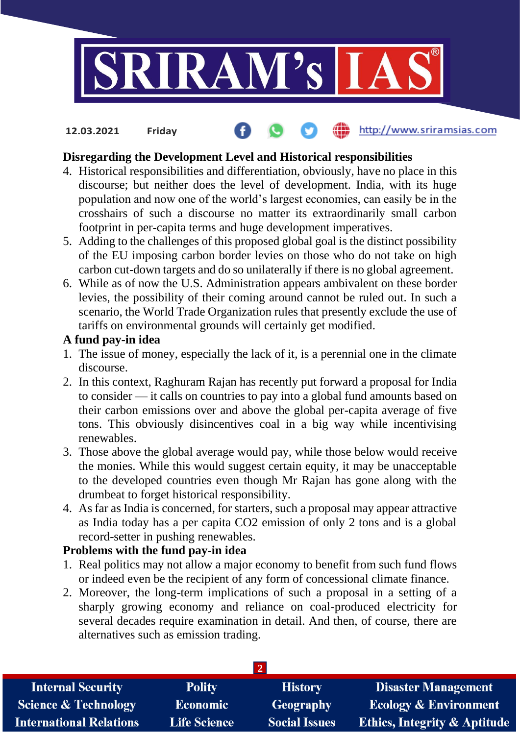

http://www.sriramsias.com

# **Disregarding the Development Level and Historical responsibilities**

- 4. Historical responsibilities and differentiation, obviously, have no place in this discourse; but neither does the level of development. India, with its huge population and now one of the world's largest economies, can easily be in the crosshairs of such a discourse no matter its extraordinarily small carbon footprint in per-capita terms and huge development imperatives.
- 5. Adding to the challenges of this proposed global goal is the distinct possibility of the EU imposing carbon border levies on those who do not take on high carbon cut-down targets and do so unilaterally if there is no global agreement.
- 6. While as of now the U.S. Administration appears ambivalent on these border levies, the possibility of their coming around cannot be ruled out. In such a scenario, the World Trade Organization rules that presently exclude the use of tariffs on environmental grounds will certainly get modified.

### **A fund pay-in idea**

**12.03.2021 Friday**

- 1. The issue of money, especially the lack of it, is a perennial one in the climate discourse.
- 2. In this context, Raghuram Rajan has recently put forward a proposal for India to consider — it calls on countries to pay into a global fund amounts based on their carbon emissions over and above the global per-capita average of five tons. This obviously disincentives coal in a big way while incentivising renewables.
- 3. Those above the global average would pay, while those below would receive the monies. While this would suggest certain equity, it may be unacceptable to the developed countries even though Mr Rajan has gone along with the drumbeat to forget historical responsibility.
- 4. As far as India is concerned, for starters, such a proposal may appear attractive as India today has a per capita CO2 emission of only 2 tons and is a global record-setter in pushing renewables.

## **Problems with the fund pay-in idea**

- 1. Real politics may not allow a major economy to benefit from such fund flows or indeed even be the recipient of any form of concessional climate finance.
- 2. Moreover, the long-term implications of such a proposal in a setting of a sharply growing economy and reliance on coal-produced electricity for several decades require examination in detail. And then, of course, there are alternatives such as emission trading.

| <b>Internal Security</b>        | <b>Polity</b>       | <b>History</b>       | <b>Disaster Management</b>              |  |  |  |
|---------------------------------|---------------------|----------------------|-----------------------------------------|--|--|--|
| <b>Science &amp; Technology</b> | <b>Economic</b>     | <b>Geography</b>     | <b>Ecology &amp; Environment</b>        |  |  |  |
| <b>International Relations</b>  | <b>Life Science</b> | <b>Social Issues</b> | <b>Ethics, Integrity &amp; Aptitude</b> |  |  |  |